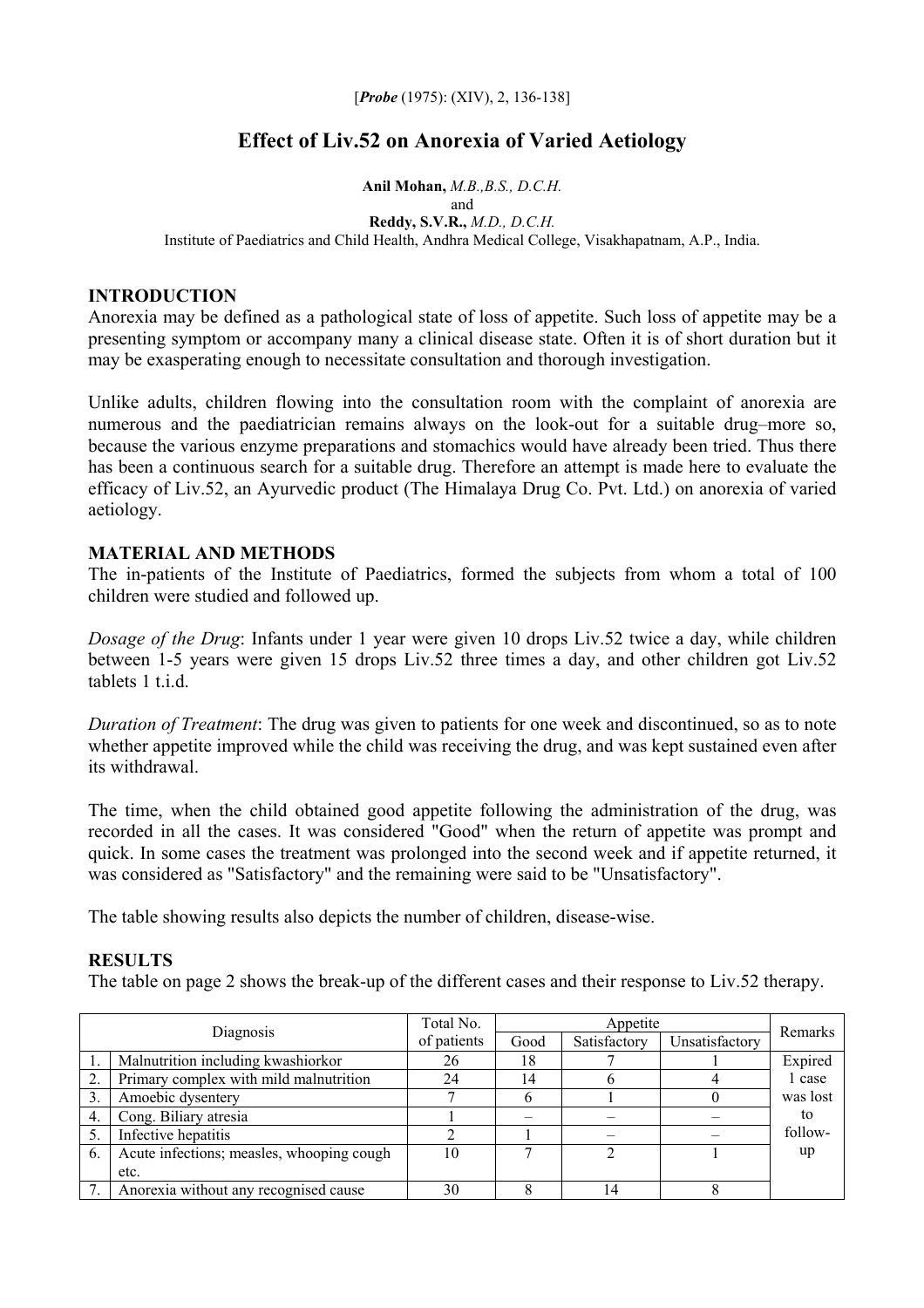[*Probe* (1975): (XIV), 2, 136-138]

# **Effect of Liv.52 on Anorexia of Varied Aetiology**

**Anil Mohan,** *M.B.,B.S., D.C.H.* and **Reddy, S.V.R.,** *M.D., D.C.H.*  Institute of Paediatrics and Child Health, Andhra Medical College, Visakhapatnam, A.P., India.

# **INTRODUCTION**

Anorexia may be defined as a pathological state of loss of appetite. Such loss of appetite may be a presenting symptom or accompany many a clinical disease state. Often it is of short duration but it may be exasperating enough to necessitate consultation and thorough investigation.

Unlike adults, children flowing into the consultation room with the complaint of anorexia are numerous and the paediatrician remains always on the look-out for a suitable drug–more so, because the various enzyme preparations and stomachics would have already been tried. Thus there has been a continuous search for a suitable drug. Therefore an attempt is made here to evaluate the efficacy of Liv.52, an Ayurvedic product (The Himalaya Drug Co. Pvt. Ltd.) on anorexia of varied aetiology.

# **MATERIAL AND METHODS**

The in-patients of the Institute of Paediatrics, formed the subjects from whom a total of 100 children were studied and followed up.

*Dosage of the Drug*: Infants under 1 year were given 10 drops Liv.52 twice a day, while children between 1-5 years were given 15 drops Liv.52 three times a day, and other children got Liv.52 tablets 1 t i d

*Duration of Treatment*: The drug was given to patients for one week and discontinued, so as to note whether appetite improved while the child was receiving the drug, and was kept sustained even after its withdrawal.

The time, when the child obtained good appetite following the administration of the drug, was recorded in all the cases. It was considered "Good" when the return of appetite was prompt and quick. In some cases the treatment was prolonged into the second week and if appetite returned, it was considered as "Satisfactory" and the remaining were said to be "Unsatisfactory".

The table showing results also depicts the number of children, disease-wise.

# **RESULTS**

The table on page 2 shows the break-up of the different cases and their response to Liv.52 therapy.

| Diagnosis |                                           | Total No.   | Appetite |              |                | Remarks  |
|-----------|-------------------------------------------|-------------|----------|--------------|----------------|----------|
|           |                                           | of patients | Good     | Satisfactory | Unsatisfactory |          |
|           | Malnutrition including kwashiorkor        | 26          | 18       |              |                | Expired  |
| 2.        | Primary complex with mild malnutrition    | 24          | 14       |              |                | 1 case   |
| 3.        | Amoebic dysentery                         |             |          |              |                | was lost |
| 4.        | Cong. Biliary atresia                     |             |          |              |                | to       |
| 5.        | Infective hepatitis                       |             |          |              |                | follow-  |
| 6.        | Acute infections; measles, whooping cough | 10          |          |              |                | up       |
|           | etc.                                      |             |          |              |                |          |
| 7.        | Anorexia without any recognised cause     | 30          |          |              |                |          |